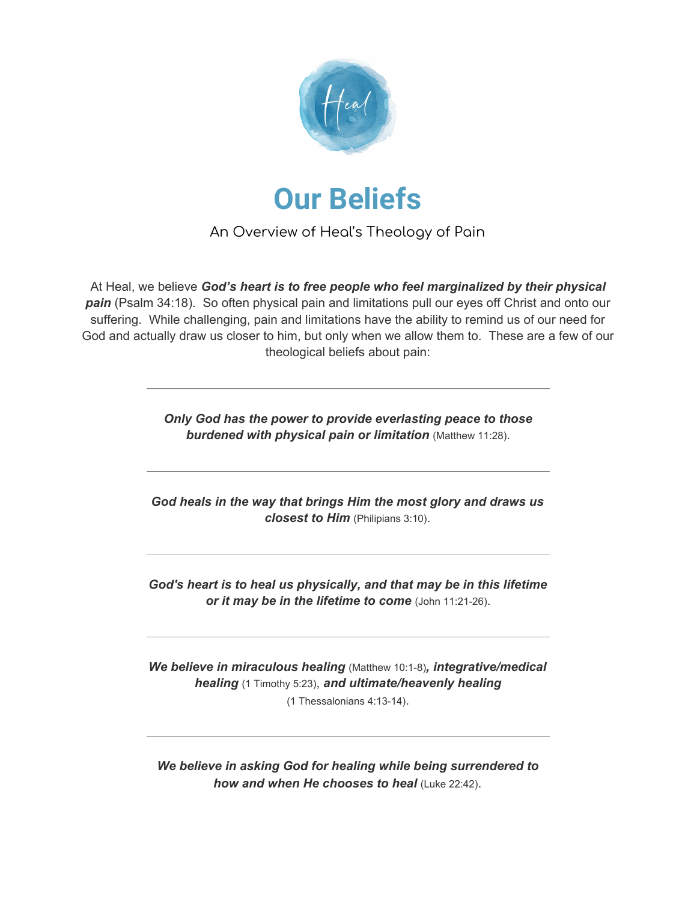



An Overview of Heal's Theology of Pain

At Heal, we believe *God's heart is to free people who feel marginalized by their physical pain* (Psalm 34:18). So often physical pain and limitations pull our eyes off Christ and onto our suffering. While challenging, pain and limitations have the ability to remind us of our need for God and actually draw us closer to him, but only when we allow them to. These are a few of our theological beliefs about pain:

> *Only God has the power to provide everlasting peace to those burdened with physical pain or limitation* (Matthew 11:28).

*God heals in the way that brings Him the most glory and draws us closest to Him* (Philipians 3:10).

*God's heart is to heal us physically, and that may be in this lifetime or it may be in the lifetime to come* (John 11:21-26).

*We believe in miraculous healing* (Matthew 10:1-8)*, integrative/medical healing* (1 Timothy 5:23), *and ultimate/heavenly healing* (1 Thessalonians 4:13-14).

*We believe in asking God for healing while being surrendered to how and when He chooses to heal* (Luke 22:42).